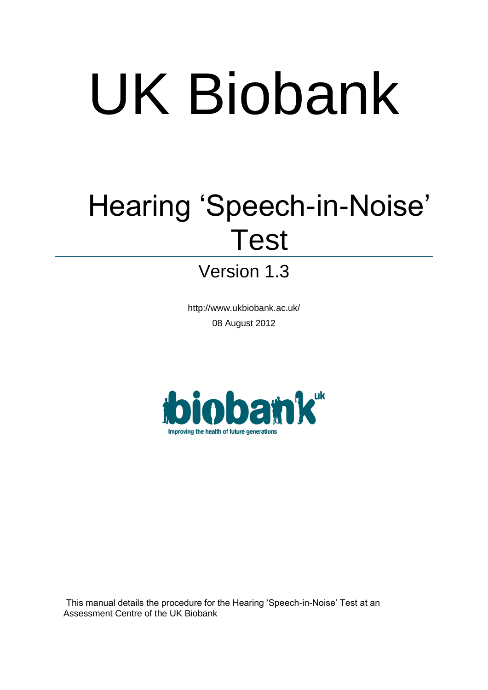# UK Biobank

## Hearing 'Speech-in-Noise' Test

### Version 1.3

http://www.ukbiobank.ac.uk/ 08 August 2012



This manual details the procedure for the Hearing 'Speech-in-Noise' Test at an Assessment Centre of the UK Biobank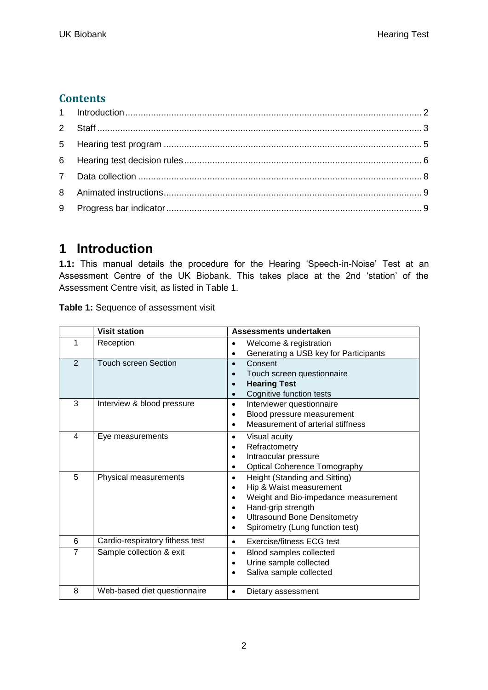#### **Contents**

#### <span id="page-1-0"></span>**1 Introduction**

**1.1:** This manual details the procedure for the Hearing 'Speech-in-Noise' Test at an Assessment Centre of the UK Biobank. This takes place at the 2nd 'station' of the Assessment Centre visit, as listed in Table 1.

**Table 1:** Sequence of assessment visit

|                | <b>Visit station</b>            | Assessments undertaken                                                                                                                                                                                                                                            |
|----------------|---------------------------------|-------------------------------------------------------------------------------------------------------------------------------------------------------------------------------------------------------------------------------------------------------------------|
|                | Reception                       | Welcome & registration<br>Generating a USB key for Participants                                                                                                                                                                                                   |
| 2              | <b>Touch screen Section</b>     | Consent<br>$\bullet$<br>Touch screen questionnaire<br><b>Hearing Test</b><br>Cognitive function tests<br>$\bullet$                                                                                                                                                |
| 3              | Interview & blood pressure      | Interviewer questionnaire<br>$\bullet$<br>Blood pressure measurement<br>$\bullet$<br>Measurement of arterial stiffness<br>$\bullet$                                                                                                                               |
| 4              | Eye measurements                | Visual acuity<br>$\bullet$<br>Refractometry<br>$\bullet$<br>Intraocular pressure<br>$\bullet$<br><b>Optical Coherence Tomography</b><br>$\bullet$                                                                                                                 |
| 5              | Physical measurements           | Height (Standing and Sitting)<br>$\bullet$<br>Hip & Waist measurement<br>$\bullet$<br>Weight and Bio-impedance measurement<br>Hand-grip strength<br>$\bullet$<br><b>Ultrasound Bone Densitometry</b><br>$\bullet$<br>Spirometry (Lung function test)<br>$\bullet$ |
| 6              | Cardio-respiratory fithess test | Exercise/fitness ECG test<br>$\bullet$                                                                                                                                                                                                                            |
| $\overline{7}$ | Sample collection & exit        | Blood samples collected<br>$\bullet$<br>Urine sample collected<br>$\bullet$<br>Saliva sample collected<br>$\bullet$                                                                                                                                               |
| 8              | Web-based diet questionnaire    | Dietary assessment<br>٠                                                                                                                                                                                                                                           |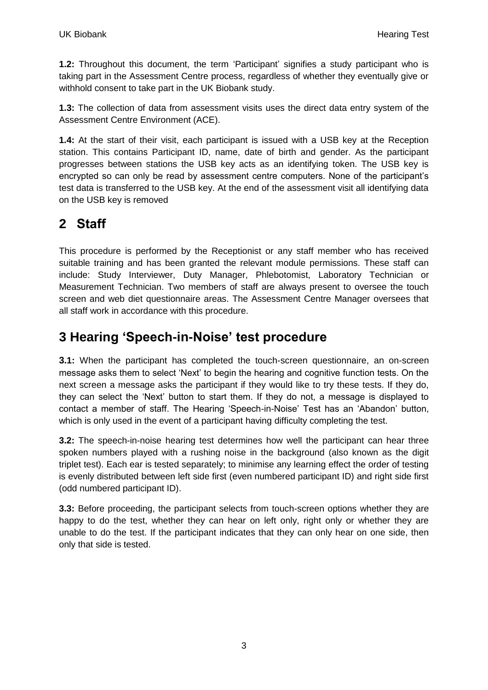**1.2:** Throughout this document, the term 'Participant' signifies a study participant who is taking part in the Assessment Centre process, regardless of whether they eventually give or withhold consent to take part in the UK Biobank study.

**1.3:** The collection of data from assessment visits uses the direct data entry system of the Assessment Centre Environment (ACE).

**1.4:** At the start of their visit, each participant is issued with a USB key at the Reception station. This contains Participant ID, name, date of birth and gender. As the participant progresses between stations the USB key acts as an identifying token. The USB key is encrypted so can only be read by assessment centre computers. None of the participant's test data is transferred to the USB key. At the end of the assessment visit all identifying data on the USB key is removed

#### <span id="page-2-0"></span>**2 Staff**

This procedure is performed by the Receptionist or any staff member who has received suitable training and has been granted the relevant module permissions. These staff can include: Study Interviewer, Duty Manager, Phlebotomist, Laboratory Technician or Measurement Technician. Two members of staff are always present to oversee the touch screen and web diet questionnaire areas. The Assessment Centre Manager oversees that all staff work in accordance with this procedure.

#### **3 Hearing 'Speech-in-Noise' test procedure**

**3.1:** When the participant has completed the touch-screen questionnaire, an on-screen message asks them to select 'Next' to begin the hearing and cognitive function tests. On the next screen a message asks the participant if they would like to try these tests. If they do, they can select the 'Next' button to start them. If they do not, a message is displayed to contact a member of staff. The Hearing 'Speech-in-Noise' Test has an 'Abandon' button, which is only used in the event of a participant having difficulty completing the test.

**3.2:** The speech-in-noise hearing test determines how well the participant can hear three spoken numbers played with a rushing noise in the background (also known as the digit triplet test). Each ear is tested separately; to minimise any learning effect the order of testing is evenly distributed between left side first (even numbered participant ID) and right side first (odd numbered participant ID).

**3.3:** Before proceeding, the participant selects from touch-screen options whether they are happy to do the test, whether they can hear on left only, right only or whether they are unable to do the test. If the participant indicates that they can only hear on one side, then only that side is tested.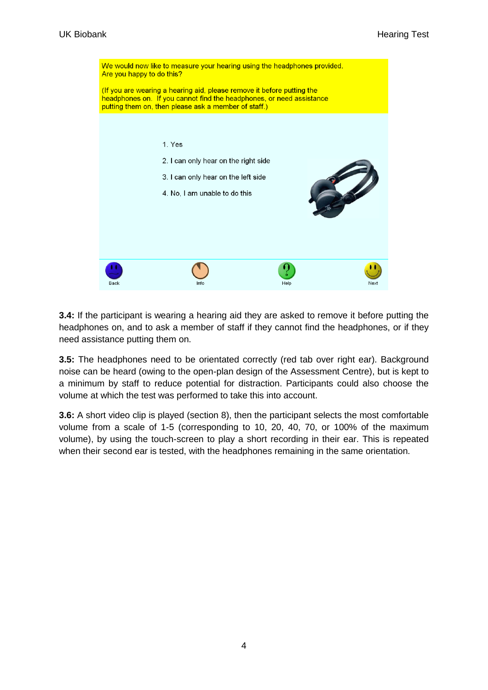

**3.4:** If the participant is wearing a hearing aid they are asked to remove it before putting the headphones on, and to ask a member of staff if they cannot find the headphones, or if they need assistance putting them on.

**3.5:** The headphones need to be orientated correctly (red tab over right ear). Background noise can be heard (owing to the open-plan design of the Assessment Centre), but is kept to a minimum by staff to reduce potential for distraction. Participants could also choose the volume at which the test was performed to take this into account.

**3.6:** A short video clip is played (section 8), then the participant selects the most comfortable volume from a scale of 1-5 (corresponding to 10, 20, 40, 70, or 100% of the maximum volume), by using the touch-screen to play a short recording in their ear. This is repeated when their second ear is tested, with the headphones remaining in the same orientation.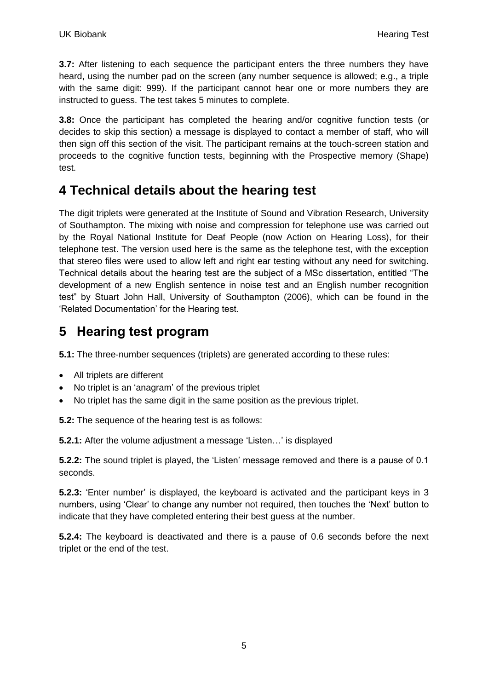**3.7:** After listening to each sequence the participant enters the three numbers they have heard, using the number pad on the screen (any number sequence is allowed; e.g., a triple with the same digit: 999). If the participant cannot hear one or more numbers they are instructed to guess. The test takes 5 minutes to complete.

**3.8:** Once the participant has completed the hearing and/or cognitive function tests (or decides to skip this section) a message is displayed to contact a member of staff, who will then sign off this section of the visit. The participant remains at the touch-screen station and proceeds to the cognitive function tests, beginning with the Prospective memory (Shape) test.

#### **4 Technical details about the hearing test**

The digit triplets were generated at the Institute of Sound and Vibration Research, University of Southampton. The mixing with noise and compression for telephone use was carried out by the Royal National Institute for Deaf People (now Action on Hearing Loss), for their telephone test. The version used here is the same as the telephone test, with the exception that stereo files were used to allow left and right ear testing without any need for switching. Technical details about the hearing test are the subject of a MSc dissertation, entitled "The development of a new English sentence in noise test and an English number recognition test" by Stuart John Hall, University of Southampton (2006), which can be found in the 'Related Documentation' for the Hearing test.

#### <span id="page-4-0"></span>**5 Hearing test program**

**5.1:** The three-number sequences (triplets) are generated according to these rules:

- All triplets are different
- No triplet is an 'anagram' of the previous triplet
- No triplet has the same digit in the same position as the previous triplet.

**5.2:** The sequence of the hearing test is as follows:

**5.2.1:** After the volume adjustment a message 'Listen…' is displayed

**5.2.2:** The sound triplet is played, the 'Listen' message removed and there is a pause of 0.1 seconds.

**5.2.3:** 'Enter number' is displayed, the keyboard is activated and the participant keys in 3 numbers, using 'Clear' to change any number not required, then touches the 'Next' button to indicate that they have completed entering their best guess at the number.

**5.2.4:** The keyboard is deactivated and there is a pause of 0.6 seconds before the next triplet or the end of the test.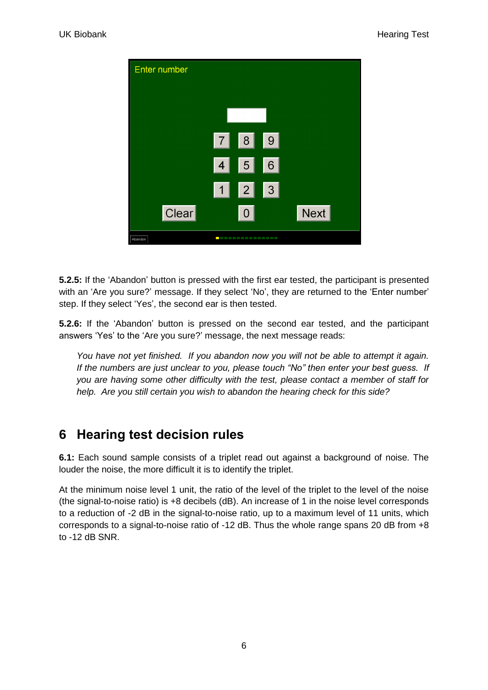

**5.2.5:** If the 'Abandon' button is pressed with the first ear tested, the participant is presented with an 'Are you sure?' message. If they select 'No', they are returned to the 'Enter number' step. If they select 'Yes', the second ear is then tested.

**5.2.6:** If the 'Abandon' button is pressed on the second ear tested, and the participant answers 'Yes' to the 'Are you sure?' message, the next message reads:

*You have not yet finished. If you abandon now you will not be able to attempt it again. If the numbers are just unclear to you, please touch "No" then enter your best guess. If you are having some other difficulty with the test, please contact a member of staff for help. Are you still certain you wish to abandon the hearing check for this side?* 

#### <span id="page-5-0"></span>**6 Hearing test decision rules**

**6.1:** Each sound sample consists of a triplet read out against a background of noise. The louder the noise, the more difficult it is to identify the triplet.

At the minimum noise level 1 unit, the ratio of the level of the triplet to the level of the noise (the signal-to-noise ratio) is +8 decibels (dB). An increase of 1 in the noise level corresponds to a reduction of -2 dB in the signal-to-noise ratio, up to a maximum level of 11 units, which corresponds to a signal-to-noise ratio of -12 dB. Thus the whole range spans 20 dB from +8 to -12 dB SNR.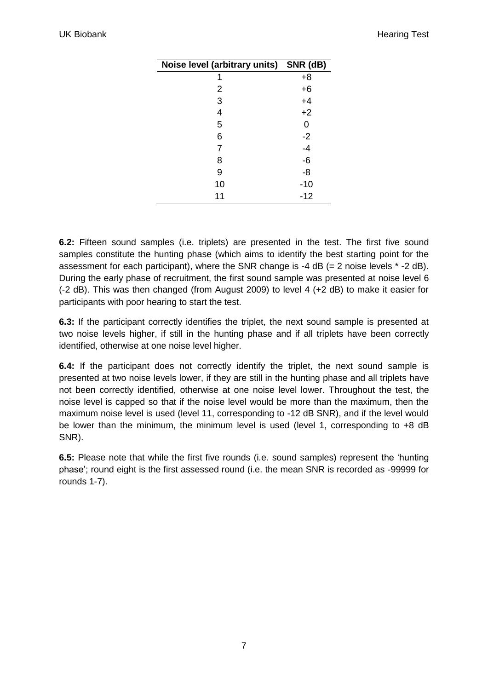| Noise level (arbitrary units) SNR (dB) |       |
|----------------------------------------|-------|
| 1                                      | $+8$  |
| 2                                      | $+6$  |
| 3                                      | $+4$  |
| 4                                      | $+2$  |
| 5                                      | 0     |
| 6                                      | $-2$  |
| 7                                      | $-4$  |
| 8                                      | -6    |
| 9                                      | -8    |
| 10                                     | $-10$ |
| 11                                     | $-12$ |

**6.2:** Fifteen sound samples (i.e. triplets) are presented in the test. The first five sound samples constitute the hunting phase (which aims to identify the best starting point for the assessment for each participant), where the SNR change is  $-4$  dB (= 2 noise levels  $*$  -2 dB). During the early phase of recruitment, the first sound sample was presented at noise level 6 (-2 dB). This was then changed (from August 2009) to level 4 (+2 dB) to make it easier for participants with poor hearing to start the test.

**6.3:** If the participant correctly identifies the triplet, the next sound sample is presented at two noise levels higher, if still in the hunting phase and if all triplets have been correctly identified, otherwise at one noise level higher.

**6.4:** If the participant does not correctly identify the triplet, the next sound sample is presented at two noise levels lower, if they are still in the hunting phase and all triplets have not been correctly identified, otherwise at one noise level lower. Throughout the test, the noise level is capped so that if the noise level would be more than the maximum, then the maximum noise level is used (level 11, corresponding to -12 dB SNR), and if the level would be lower than the minimum, the minimum level is used (level 1, corresponding to +8 dB SNR).

**6.5:** Please note that while the first five rounds (i.e. sound samples) represent the 'hunting phase'; round eight is the first assessed round (i.e. the mean SNR is recorded as -99999 for rounds 1-7).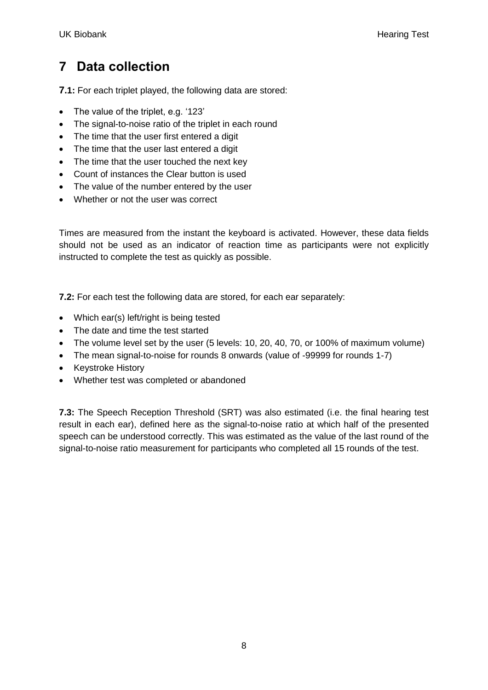#### <span id="page-7-0"></span>**7 Data collection**

**7.1:** For each triplet played, the following data are stored:

- The value of the triplet, e.g. '123'
- The signal-to-noise ratio of the triplet in each round
- The time that the user first entered a digit
- The time that the user last entered a digit
- The time that the user touched the next key
- Count of instances the Clear button is used
- The value of the number entered by the user
- Whether or not the user was correct

Times are measured from the instant the keyboard is activated. However, these data fields should not be used as an indicator of reaction time as participants were not explicitly instructed to complete the test as quickly as possible.

**7.2:** For each test the following data are stored, for each ear separately:

- Which ear(s) left/right is being tested
- The date and time the test started
- The volume level set by the user (5 levels: 10, 20, 40, 70, or 100% of maximum volume)
- The mean signal-to-noise for rounds 8 onwards (value of -99999 for rounds 1-7)
- Keystroke History
- Whether test was completed or abandoned

**7.3:** The Speech Reception Threshold (SRT) was also estimated (i.e. the final hearing test result in each ear), defined here as the signal-to-noise ratio at which half of the presented speech can be understood correctly. This was estimated as the value of the last round of the signal-to-noise ratio measurement for participants who completed all 15 rounds of the test.